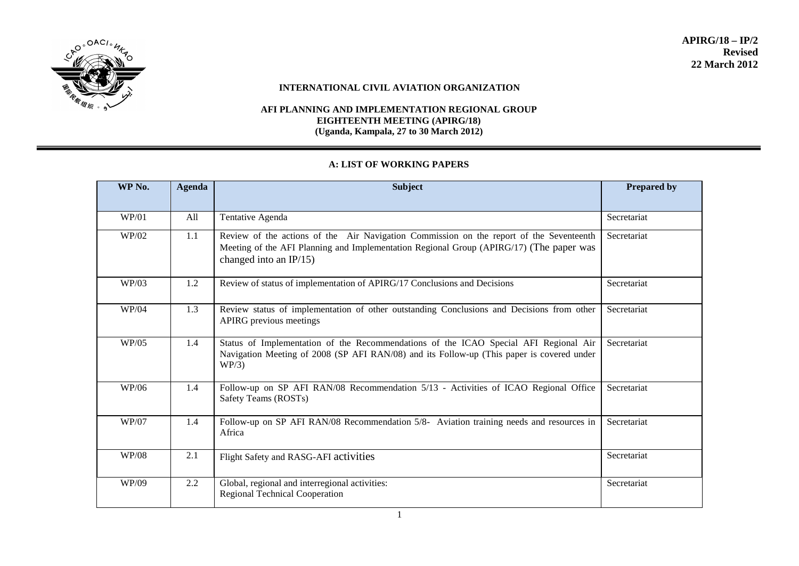

#### **INTERNATIONAL CIVIL AVIATION ORGANIZATION**

#### **AFI PLANNING AND IMPLEMENTATION REGIONAL GROUP EIGHTEENTH MEETING (APIRG/18) (Uganda, Kampala, 27 to 30 March 2012)**

# **A: LIST OF WORKING PAPERS**

| WP No.       | <b>Agenda</b> | <b>Subject</b>                                                                                                                                                                                                  | <b>Prepared by</b> |
|--------------|---------------|-----------------------------------------------------------------------------------------------------------------------------------------------------------------------------------------------------------------|--------------------|
| WP/01        | All           | Tentative Agenda                                                                                                                                                                                                | Secretariat        |
| WP/02        | 1.1           | Review of the actions of the Air Navigation Commission on the report of the Seventeenth<br>Meeting of the AFI Planning and Implementation Regional Group (APIRG/17) (The paper was<br>changed into an $IP/15$ ) | Secretariat        |
| WP/03        | 1.2           | Review of status of implementation of APIRG/17 Conclusions and Decisions                                                                                                                                        | Secretariat        |
| WP/04        | 1.3           | Review status of implementation of other outstanding Conclusions and Decisions from other<br>APIRG previous meetings                                                                                            | Secretariat        |
| WP/05        | 1.4           | Status of Implementation of the Recommendations of the ICAO Special AFI Regional Air<br>Navigation Meeting of 2008 (SP AFI RAN/08) and its Follow-up (This paper is covered under<br>WP/3)                      | Secretariat        |
| WP/06        | 1.4           | Follow-up on SP AFI RAN/08 Recommendation 5/13 - Activities of ICAO Regional Office<br>Safety Teams (ROSTs)                                                                                                     | Secretariat        |
| WP/07        | 1.4           | Follow-up on SP AFI RAN/08 Recommendation 5/8- Aviation training needs and resources in<br>Africa                                                                                                               | Secretariat        |
| <b>WP/08</b> | 2.1           | Flight Safety and RASG-AFI activities                                                                                                                                                                           | Secretariat        |
| WP/09        | 2.2           | Global, regional and interregional activities:<br><b>Regional Technical Cooperation</b>                                                                                                                         | Secretariat        |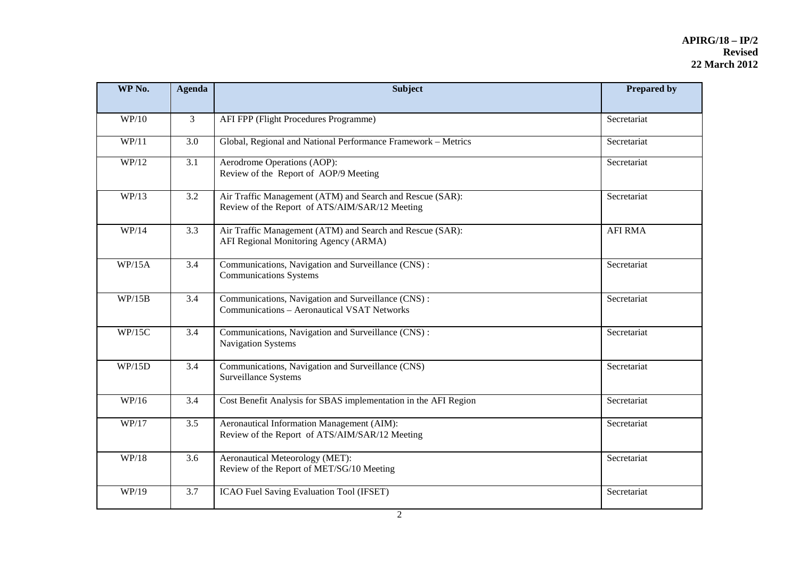| WP No. | <b>Agenda</b>    | <b>Subject</b>                                                                                              | <b>Prepared by</b> |
|--------|------------------|-------------------------------------------------------------------------------------------------------------|--------------------|
| WP/10  | $\mathfrak{Z}$   | AFI FPP (Flight Procedures Programme)                                                                       | Secretariat        |
| WP/11  | 3.0              | Global, Regional and National Performance Framework - Metrics                                               | Secretariat        |
| WP/12  | $\overline{3.1}$ | Aerodrome Operations (AOP):<br>Review of the Report of AOP/9 Meeting                                        | Secretariat        |
| WP/13  | 3.2              | Air Traffic Management (ATM) and Search and Rescue (SAR):<br>Review of the Report of ATS/AIM/SAR/12 Meeting | Secretariat        |
| WP/14  | 3.3              | Air Traffic Management (ATM) and Search and Rescue (SAR):<br>AFI Regional Monitoring Agency (ARMA)          | <b>AFI RMA</b>     |
| WP/15A | 3.4              | Communications, Navigation and Surveillance (CNS):<br><b>Communications Systems</b>                         | Secretariat        |
| WP/15B | 3.4              | Communications, Navigation and Surveillance (CNS):<br><b>Communications - Aeronautical VSAT Networks</b>    | Secretariat        |
| WP/15C | 3.4              | Communications, Navigation and Surveillance (CNS) :<br>Navigation Systems                                   | Secretariat        |
| WP/15D | 3.4              | Communications, Navigation and Surveillance (CNS)<br>Surveillance Systems                                   | Secretariat        |
| WP/16  | 3.4              | Cost Benefit Analysis for SBAS implementation in the AFI Region                                             | Secretariat        |
| WP/17  | 3.5              | Aeronautical Information Management (AIM):<br>Review of the Report of ATS/AIM/SAR/12 Meeting                | Secretariat        |
| WP/18  | 3.6              | Aeronautical Meteorology (MET):<br>Review of the Report of MET/SG/10 Meeting                                | Secretariat        |
| WP/19  | 3.7              | ICAO Fuel Saving Evaluation Tool (IFSET)                                                                    | Secretariat        |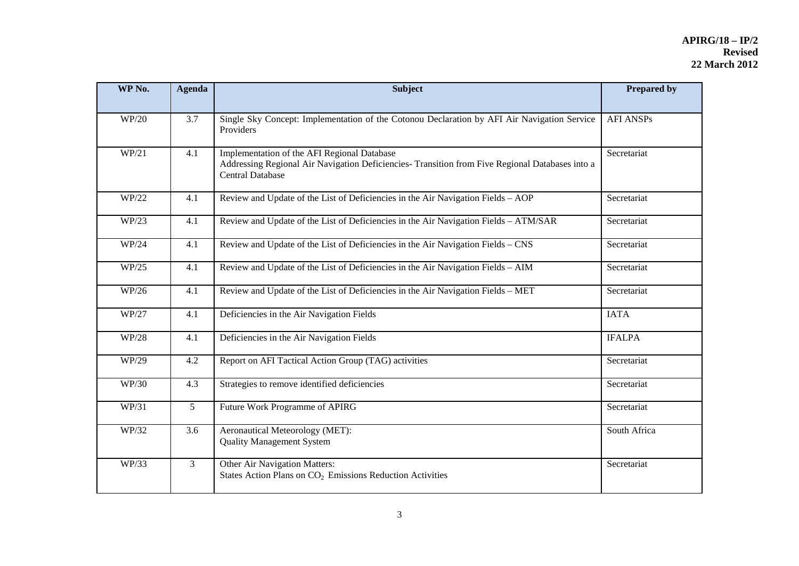| WP No. | <b>Agenda</b>  | <b>Subject</b>                                                                                                                                                            | <b>Prepared by</b> |
|--------|----------------|---------------------------------------------------------------------------------------------------------------------------------------------------------------------------|--------------------|
| WP/20  | 3.7            | Single Sky Concept: Implementation of the Cotonou Declaration by AFI Air Navigation Service<br>Providers                                                                  | <b>AFI ANSPs</b>   |
| WP/21  | 4.1            | Implementation of the AFI Regional Database<br>Addressing Regional Air Navigation Deficiencies- Transition from Five Regional Databases into a<br><b>Central Database</b> | Secretariat        |
| WP/22  | 4.1            | Review and Update of the List of Deficiencies in the Air Navigation Fields - AOP                                                                                          | Secretariat        |
| WP/23  | 4.1            | Review and Update of the List of Deficiencies in the Air Navigation Fields - ATM/SAR                                                                                      | Secretariat        |
| WP/24  | 4.1            | Review and Update of the List of Deficiencies in the Air Navigation Fields – CNS                                                                                          | Secretariat        |
| WP/25  | 4.1            | Review and Update of the List of Deficiencies in the Air Navigation Fields - AIM                                                                                          | Secretariat        |
| WP/26  | 4.1            | Review and Update of the List of Deficiencies in the Air Navigation Fields – MET                                                                                          | Secretariat        |
| WP/27  | 4.1            | Deficiencies in the Air Navigation Fields                                                                                                                                 | <b>IATA</b>        |
| WP/28  | 4.1            | Deficiencies in the Air Navigation Fields                                                                                                                                 | <b>IFALPA</b>      |
| WP/29  | 4.2            | Report on AFI Tactical Action Group (TAG) activities                                                                                                                      | Secretariat        |
| WP/30  | 4.3            | Strategies to remove identified deficiencies                                                                                                                              | Secretariat        |
| WP/31  | 5 <sup>5</sup> | Future Work Programme of APIRG                                                                                                                                            | Secretariat        |
| WP/32  | 3.6            | Aeronautical Meteorology (MET):<br><b>Quality Management System</b>                                                                                                       | South Africa       |
| WP/33  | 3              | Other Air Navigation Matters:<br>States Action Plans on CO <sub>2</sub> Emissions Reduction Activities                                                                    | Secretariat        |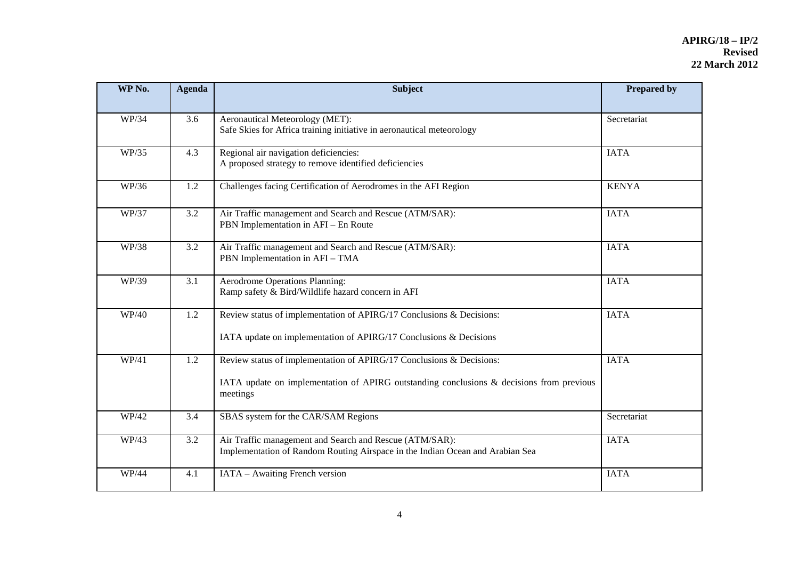| WP No. | <b>Agenda</b> | <b>Subject</b>                                                                                                                                                                  | <b>Prepared by</b> |
|--------|---------------|---------------------------------------------------------------------------------------------------------------------------------------------------------------------------------|--------------------|
|        |               |                                                                                                                                                                                 |                    |
| WP/34  | 3.6           | Aeronautical Meteorology (MET):<br>Safe Skies for Africa training initiative in aeronautical meteorology                                                                        | Secretariat        |
| WP/35  | 4.3           | Regional air navigation deficiencies:<br>A proposed strategy to remove identified deficiencies                                                                                  | <b>IATA</b>        |
| WP/36  | 1.2           | Challenges facing Certification of Aerodromes in the AFI Region                                                                                                                 | <b>KENYA</b>       |
| WP/37  | 3.2           | Air Traffic management and Search and Rescue (ATM/SAR):<br>PBN Implementation in AFI - En Route                                                                                 | <b>IATA</b>        |
| WP/38  | 3.2           | Air Traffic management and Search and Rescue (ATM/SAR):<br>PBN Implementation in AFI - TMA                                                                                      | <b>IATA</b>        |
| WP/39  | 3.1           | <b>Aerodrome Operations Planning:</b><br>Ramp safety & Bird/Wildlife hazard concern in AFI                                                                                      | <b>IATA</b>        |
| WP/40  | 1.2           | Review status of implementation of APIRG/17 Conclusions & Decisions:<br>IATA update on implementation of APIRG/17 Conclusions & Decisions                                       | <b>IATA</b>        |
| WP/41  | 1.2           | Review status of implementation of APIRG/17 Conclusions & Decisions:<br>IATA update on implementation of APIRG outstanding conclusions $\&$ decisions from previous<br>meetings | <b>IATA</b>        |
| WP/42  | 3.4           | SBAS system for the CAR/SAM Regions                                                                                                                                             | Secretariat        |
| WP/43  | 3.2           | Air Traffic management and Search and Rescue (ATM/SAR):<br>Implementation of Random Routing Airspace in the Indian Ocean and Arabian Sea                                        | <b>IATA</b>        |
| WP/44  | 4.1           | IATA - Awaiting French version                                                                                                                                                  | <b>IATA</b>        |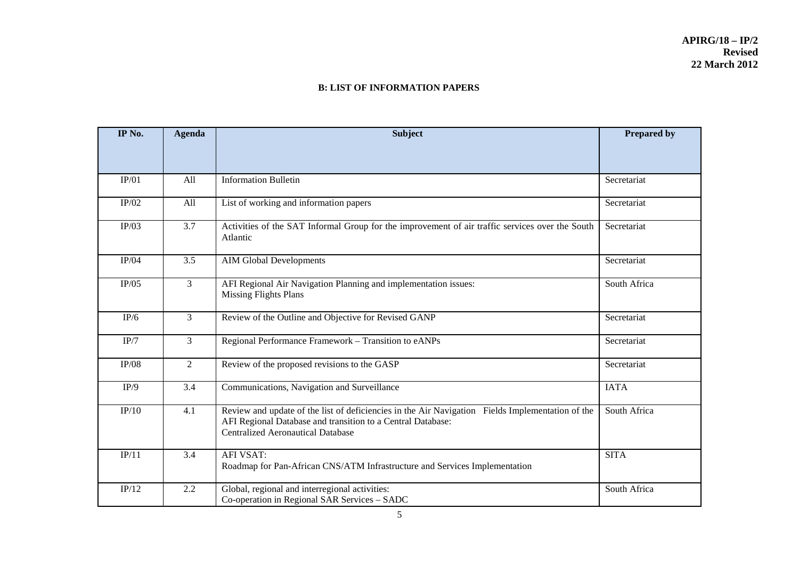#### **B: LIST OF INFORMATION PAPERS**

| IP No. | <b>Agenda</b>  | <b>Subject</b>                                                                                                                                                                                              | <b>Prepared by</b> |
|--------|----------------|-------------------------------------------------------------------------------------------------------------------------------------------------------------------------------------------------------------|--------------------|
|        |                |                                                                                                                                                                                                             |                    |
| IP/01  | All            | <b>Information Bulletin</b>                                                                                                                                                                                 | Secretariat        |
| IP/02  | All            | List of working and information papers                                                                                                                                                                      | Secretariat        |
| IP/03  | 3.7            | Activities of the SAT Informal Group for the improvement of air traffic services over the South<br>Atlantic                                                                                                 | Secretariat        |
| IP/04  | 3.5            | <b>AIM Global Developments</b>                                                                                                                                                                              | Secretariat        |
| IP/05  | 3              | AFI Regional Air Navigation Planning and implementation issues:<br><b>Missing Flights Plans</b>                                                                                                             | South Africa       |
| IP/6   | 3              | Review of the Outline and Objective for Revised GANP                                                                                                                                                        | Secretariat        |
| IP/7   | 3              | Regional Performance Framework - Transition to eANPs                                                                                                                                                        | Secretariat        |
| IP/08  | $\overline{2}$ | Review of the proposed revisions to the GASP                                                                                                                                                                | Secretariat        |
| IP/9   | 3.4            | Communications, Navigation and Surveillance                                                                                                                                                                 | <b>IATA</b>        |
| IP/10  | 4.1            | Review and update of the list of deficiencies in the Air Navigation Fields Implementation of the<br>AFI Regional Database and transition to a Central Database:<br><b>Centralized Aeronautical Database</b> | South Africa       |
| IP/11  | 3.4            | <b>AFI VSAT:</b><br>Roadmap for Pan-African CNS/ATM Infrastructure and Services Implementation                                                                                                              | <b>SITA</b>        |
| IP/12  | 2.2            | Global, regional and interregional activities:<br>Co-operation in Regional SAR Services - SADC                                                                                                              | South Africa       |